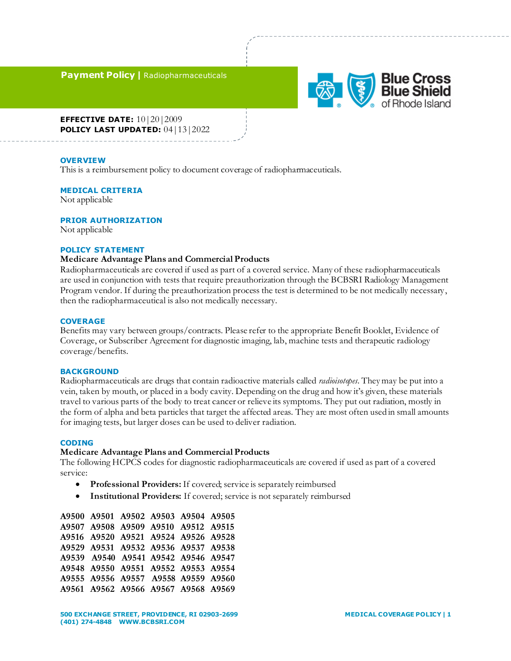**Payment Policy |** Radiopharmaceuticals



**EFFECTIVE DATE:** 10|20|2009 **POLICY LAST UPDATED:** 04|13|2022

#### **OVERVIEW**

This is a reimbursement policy to document coverage of radiopharmaceuticals.

#### **MEDICAL CRITERIA**

Not applicable

## **PRIOR AUTHORIZATION**

Not applicable

## **POLICY STATEMENT**

### **Medicare Advantage Plans and Commercial Products**

Radiopharmaceuticals are covered if used as part of a covered service. Many of these radiopharmaceuticals are used in conjunction with tests that require preauthorization through the BCBSRI Radiology Management Program vendor. If during the preauthorization process the test is determined to be not medically necessary, then the radiopharmaceutical is also not medically necessary.

## **COVERAGE**

Benefits may vary between groups/contracts. Please refer to the appropriate Benefit Booklet, Evidence of Coverage, or Subscriber Agreement for diagnostic imaging, lab, machine tests and therapeutic radiology coverage/benefits.

## **BACKGROUND**

Radiopharmaceuticals are drugs that contain radioactive materials called *radioisotopes*. They may be put into a vein, taken by mouth, or placed in a body cavity. Depending on the drug and how it's given, these materials travel to various parts of the body to treat cancer or relieve its symptoms. They put out radiation, mostly in the form of alpha and beta particles that target the affected areas. They are most often used in small amounts for imaging tests, but larger doses can be used to deliver radiation.

### **CODING**

#### **Medicare Advantage Plans and Commercial Products**

The following HCPCS codes for diagnostic radiopharmaceuticals are covered if used as part of a covered service:

- **Professional Providers:** If covered; service is separately reimbursed
- **Institutional Providers:** If covered; service is not separately reimbursed

| A9500 A9501 A9502 A9503 A9504 A9505 |  |  |
|-------------------------------------|--|--|
| A9507 A9508 A9509 A9510 A9512 A9515 |  |  |
| A9516 A9520 A9521 A9524 A9526 A9528 |  |  |
| A9529 A9531 A9532 A9536 A9537 A9538 |  |  |
| A9539 A9540 A9541 A9542 A9546 A9547 |  |  |
| A9548 A9550 A9551 A9552 A9553 A9554 |  |  |
| A9555 A9556 A9557 A9558 A9559 A9560 |  |  |
| A9561 A9562 A9566 A9567 A9568 A9569 |  |  |